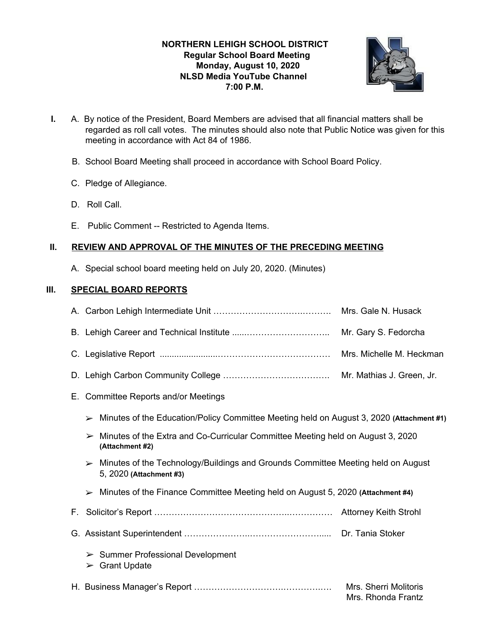# **NORTHERN LEHIGH SCHOOL DISTRICT Regular School Board Meeting Monday, August 10, 2020 NLSD Media YouTube Channel 7:00 P.M.**



- **I.** A. By notice of the President, Board Members are advised that all financial matters shall be regarded as roll call votes. The minutes should also note that Public Notice was given for this meeting in accordance with Act 84 of 1986.
	- B. School Board Meeting shall proceed in accordance with School Board Policy.
	- C. Pledge of Allegiance.
	- D. Roll Call.
	- E. Public Comment -- Restricted to Agenda Items.

## **II. REVIEW AND APPROVAL OF THE MINUTES OF THE PRECEDING MEETING**

A. Special school board meeting held on July 20, 2020. (Minutes)

## **III. SPECIAL BOARD REPORTS**

|    |                                                                                                                              | Mrs. Gale N. Husack                         |
|----|------------------------------------------------------------------------------------------------------------------------------|---------------------------------------------|
|    |                                                                                                                              | Mr. Gary S. Fedorcha                        |
|    |                                                                                                                              | Mrs. Michelle M. Heckman                    |
|    |                                                                                                                              | Mr. Mathias J. Green, Jr.                   |
|    | E. Committee Reports and/or Meetings                                                                                         |                                             |
|    | Minutes of the Education/Policy Committee Meeting held on August 3, 2020 (Attachment #1)<br>➤                                |                                             |
|    | Minutes of the Extra and Co-Curricular Committee Meeting held on August 3, 2020<br>➤<br>(Attachment #2)                      |                                             |
|    | $\triangleright$ Minutes of the Technology/Buildings and Grounds Committee Meeting held on August<br>5, 2020 (Attachment #3) |                                             |
|    | Minutes of the Finance Committee Meeting held on August 5, 2020 (Attachment #4)                                              |                                             |
| F. |                                                                                                                              |                                             |
|    |                                                                                                                              |                                             |
|    | $\triangleright$ Summer Professional Development<br>$\triangleright$ Grant Update                                            |                                             |
|    |                                                                                                                              | Mrs. Sherri Molitoris<br>Mrs. Rhonda Frantz |
|    |                                                                                                                              |                                             |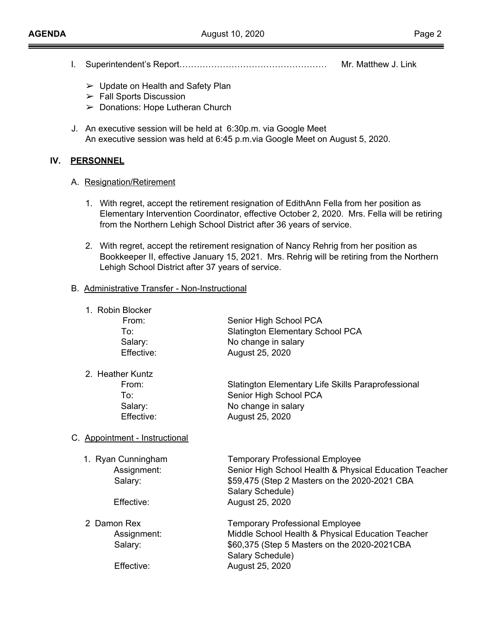- I. Superintendent's Report…………………………………………… Mr. Matthew J. Link
	- $\triangleright$  Update on Health and Safety Plan
	- $\triangleright$  Fall Sports Discussion
	- $\triangleright$  Donations: Hope Lutheran Church
- J. An executive session will be held at 6:30p.m. via Google Meet An executive session was held at 6:45 p.m.via Google Meet on August 5, 2020.

### **IV. PERSONNEL**

- A. Resignation/Retirement
	- 1. With regret, accept the retirement resignation of EdithAnn Fella from her position as Elementary Intervention Coordinator, effective October 2, 2020. Mrs. Fella will be retiring from the Northern Lehigh School District after 36 years of service.
	- 2. With regret, accept the retirement resignation of Nancy Rehrig from her position as Bookkeeper II, effective January 15, 2021. Mrs. Rehrig will be retiring from the Northern Lehigh School District after 37 years of service.

### B. Administrative Transfer - Non-Instructional

1. Robin Blocker

| From:      | Senior High School PCA                  |
|------------|-----------------------------------------|
| To∶        | <b>Slatington Elementary School PCA</b> |
| Salary:    | No change in salary                     |
| Effective: | August 25, 2020                         |

2. Heather Kuntz

| From:      | Slatington Elementary Life Skills Paraprofessional |
|------------|----------------------------------------------------|
| To∶        | Senior High School PCA                             |
| Salary:    | No change in salary                                |
| Effective: | August 25, 2020                                    |

### C. Appointment - Instructional

| 1. Ryan Cunningham<br>Assignment:<br>Salary: | <b>Temporary Professional Employee</b><br>Senior High School Health & Physical Education Teacher<br>\$59,475 (Step 2 Masters on the 2020-2021 CBA<br>Salary Schedule) |
|----------------------------------------------|-----------------------------------------------------------------------------------------------------------------------------------------------------------------------|
| Effective:                                   | August 25, 2020                                                                                                                                                       |
| 2 Damon Rex                                  | <b>Temporary Professional Employee</b>                                                                                                                                |
| Assignment:                                  | Middle School Health & Physical Education Teacher                                                                                                                     |
| Salary:                                      | \$60,375 (Step 5 Masters on the 2020-2021CBA                                                                                                                          |
|                                              | Salary Schedule)                                                                                                                                                      |
| Effective:                                   | August 25, 2020                                                                                                                                                       |
|                                              |                                                                                                                                                                       |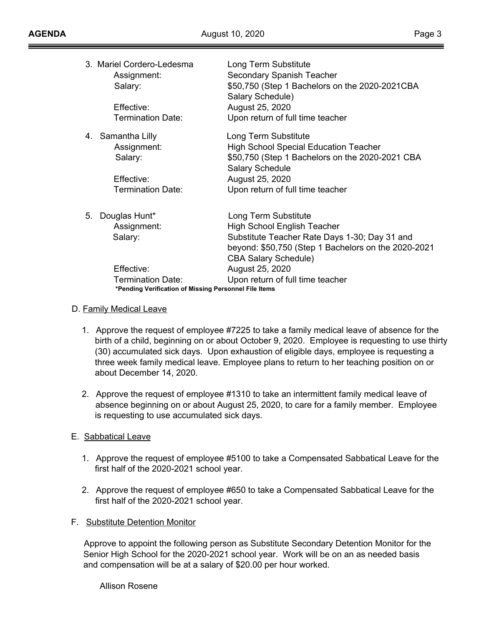|    | 3. Mariel Cordero-Ledesma<br>Assignment:<br>Salary:<br>Effective:<br><b>Termination Date:</b>   | Long Term Substitute<br>Secondary Spanish Teacher<br>\$50,750 (Step 1 Bachelors on the 2020-2021CBA<br>Salary Schedule)<br>August 25, 2020<br>Upon return of full time teacher             |
|----|-------------------------------------------------------------------------------------------------|--------------------------------------------------------------------------------------------------------------------------------------------------------------------------------------------|
|    | 4. Samantha Lilly<br>Assignment:<br>Salary:                                                     | Long Term Substitute<br><b>High School Special Education Teacher</b><br>\$50,750 (Step 1 Bachelors on the 2020-2021 CBA<br><b>Salary Schedule</b>                                          |
|    | Effective:<br><b>Termination Date:</b>                                                          | August 25, 2020<br>Upon return of full time teacher                                                                                                                                        |
| 5. | Douglas Hunt*<br>Assignment:<br>Salary:                                                         | Long Term Substitute<br>High School English Teacher<br>Substitute Teacher Rate Days 1-30; Day 31 and<br>beyond: \$50,750 (Step 1 Bachelors on the 2020-2021<br><b>CBA Salary Schedule)</b> |
|    | Effective:<br><b>Termination Date:</b><br>*Pending Verification of Missing Personnel File Items | August 25, 2020<br>Upon return of full time teacher                                                                                                                                        |

### D. Family Medical Leave

- 1. Approve the request of employee #7225 to take a family medical leave of absence for the birth of a child, beginning on or about October 9, 2020. Employee is requesting to use thirty (30) accumulated sick days. Upon exhaustion of eligible days, employee is requesting a three week family medical leave. Employee plans to return to her teaching position on or about December 14, 2020.
- 2. Approve the request of employee #1310 to take an intermittent family medical leave of absence beginning on or about August 25, 2020, to care for a family member. Employee is requesting to use accumulated sick days.

### E. Sabbatical Leave

- 1. Approve the request of employee #5100 to take a Compensated Sabbatical Leave for the first half of the 2020-2021 school year.
- 2. Approve the request of employee #650 to take a Compensated Sabbatical Leave for the first half of the 2020-2021 school year.
- F. Substitute Detention Monitor

Approve to appoint the following person as Substitute Secondary Detention Monitor for the Senior High School for the 2020-2021 school year. Work will be on an as needed basis and compensation will be at a salary of \$20.00 per hour worked.

Allison Rosene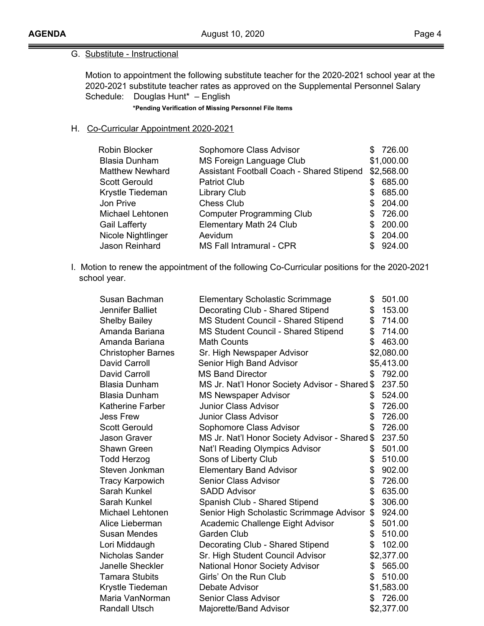# G. Substitute - Instructional

Motion to appointment the following substitute teacher for the 2020-2021 school year at the 2020-2021 substitute teacher rates as approved on the Supplemental Personnel Salary Schedule: Douglas Hunt\* – English

#### **\*Pending Verification of Missing Personnel File Items**

#### H. Co-Curricular Appointment 2020-2021

| Robin Blocker          | Sophomore Class Advisor                   |    | \$726.00   |
|------------------------|-------------------------------------------|----|------------|
| <b>Blasia Dunham</b>   | MS Foreign Language Club                  |    | \$1,000.00 |
| <b>Matthew Newhard</b> | Assistant Football Coach - Shared Stipend |    | \$2,568.00 |
| <b>Scott Gerould</b>   | <b>Patriot Club</b>                       | S. | 685.00     |
| Krystle Tiedeman       | Library Club                              | S. | 685.00     |
| Jon Prive              | <b>Chess Club</b>                         |    | \$204.00   |
| Michael Lehtonen       | <b>Computer Programming Club</b>          |    | \$726.00   |
| <b>Gail Lafferty</b>   | Elementary Math 24 Club                   |    | \$200.00   |
| Nicole Nightlinger     | Aevidum                                   |    | \$204.00   |
| Jason Reinhard         | MS Fall Intramural - CPR                  |    | \$924.00   |

I. Motion to renew the appointment of the following Co-Curricular positions for the 2020-2021 school year.

| Susan Bachman             | <b>Elementary Scholastic Scrimmage</b>         | \$<br>501.00 |
|---------------------------|------------------------------------------------|--------------|
| <b>Jennifer Balliet</b>   | Decorating Club - Shared Stipend               | \$<br>153.00 |
| <b>Shelby Bailey</b>      | <b>MS Student Council - Shared Stipend</b>     | \$<br>714.00 |
| Amanda Bariana            | <b>MS Student Council - Shared Stipend</b>     | \$<br>714.00 |
| Amanda Bariana            | <b>Math Counts</b>                             | \$<br>463.00 |
| <b>Christopher Barnes</b> | Sr. High Newspaper Advisor                     | \$2,080.00   |
| David Carroll             | Senior High Band Advisor                       | \$5,413.00   |
| David Carroll             | <b>MS Band Director</b>                        | \$<br>792.00 |
| <b>Blasia Dunham</b>      | MS Jr. Nat'l Honor Society Advisor - Shared \$ | 237.50       |
| <b>Blasia Dunham</b>      | <b>MS Newspaper Advisor</b>                    | \$<br>524.00 |
| <b>Katherine Farber</b>   | <b>Junior Class Advisor</b>                    | \$<br>726.00 |
| <b>Jess Frew</b>          | <b>Junior Class Advisor</b>                    | \$<br>726.00 |
| <b>Scott Gerould</b>      | Sophomore Class Advisor                        | \$<br>726.00 |
| <b>Jason Graver</b>       | MS Jr. Nat'l Honor Society Advisor - Shared \$ | 237.50       |
| Shawn Green               | Nat'l Reading Olympics Advisor                 | \$<br>501.00 |
| <b>Todd Herzog</b>        | Sons of Liberty Club                           | \$<br>510.00 |
| Steven Jonkman            | <b>Elementary Band Advisor</b>                 | \$<br>902.00 |
| <b>Tracy Karpowich</b>    | <b>Senior Class Advisor</b>                    | \$<br>726.00 |
| Sarah Kunkel              | <b>SADD Advisor</b>                            | \$<br>635.00 |
| Sarah Kunkel              | Spanish Club - Shared Stipend                  | \$<br>306.00 |
| Michael Lehtonen          | Senior High Scholastic Scrimmage Advisor       | \$<br>924.00 |
| Alice Lieberman           | Academic Challenge Eight Advisor               | \$<br>501.00 |
| <b>Susan Mendes</b>       | <b>Garden Club</b>                             | \$<br>510.00 |
| Lori Middaugh             | Decorating Club - Shared Stipend               | \$<br>102.00 |
| Nicholas Sander           | Sr. High Student Council Advisor               | \$2,377.00   |
| Janelle Sheckler          | National Honor Society Advisor                 | \$<br>565.00 |
| <b>Tamara Stubits</b>     | Girls' On the Run Club                         | \$<br>510.00 |
| Krystle Tiedeman          | Debate Advisor                                 | \$1,583.00   |
| Maria VanNorman           | <b>Senior Class Advisor</b>                    | \$<br>726.00 |
| <b>Randall Utsch</b>      | Majorette/Band Advisor                         | \$2,377.00   |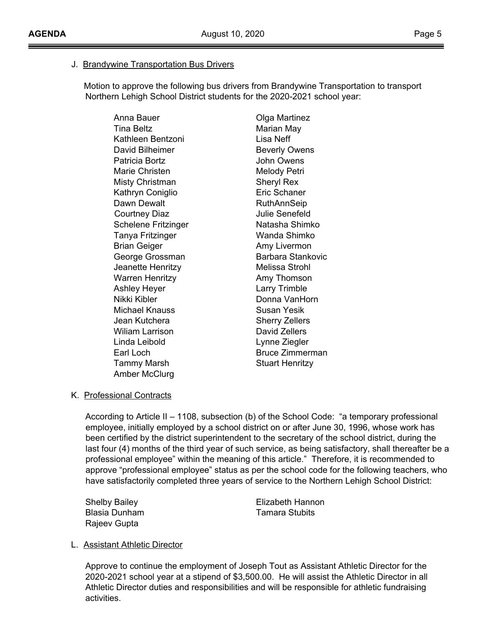### J. Brandywine Transportation Bus Drivers

Motion to approve the following bus drivers from Brandywine Transportation to transport Northern Lehigh School District students for the 2020-2021 school year:

Anna Bauer **Canada Anna Bauer** Clga Martinez Tina Beltz **Marian May** Kathleen Bentzoni Lisa Neff David Bilheimer **Beverly Owens** Patricia Bortz **International Communist Communist Communist Communist Communist Communist Communist Communist Communist Communist Communist Communist Communist Communist Communist Communist Communist Communist Communist Co** Marie Christen **Melody Petri** Misty Christman Sheryl Rex Kathryn Coniglio **Eric Schaner** Dawn Dewalt **National Accord RuthAnnSeip** Courtney Diaz **Julie Senefeld** Schelene Fritzinger Natasha Shimko Tanya Fritzinger Wanda Shimko Brian Geiger **Amy Livermon** George Grossman Barbara Stankovic Jeanette Henritzy Melissa Strohl Warren Henritzy **Amy Thomson** Ashley Heyer **Larry Trimble** Nikki Kibler **Donna VanHorn** Michael Knauss Susan Yesik Jean Kutchera Sherry Zellers Wiliam Larrison **David Zellers** Linda Leibold Lynne Ziegler Earl Loch Bruce Zimmerman Tammy Marsh Stuart Henritzy Amber McClurg

# K. Professional Contracts

According to Article II – 1108, subsection (b) of the School Code: "a temporary professional employee, initially employed by a school district on or after June 30, 1996, whose work has been certified by the district superintendent to the secretary of the school district, during the last four (4) months of the third year of such service, as being satisfactory, shall thereafter be a professional employee" within the meaning of this article." Therefore, it is recommended to approve "professional employee" status as per the school code for the following teachers, who have satisfactorily completed three years of service to the Northern Lehigh School District:

Blasia Dunham Tamara Stubits Rajeev Gupta

Shelby Bailey **Elizabeth Hannon** 

# L. Assistant Athletic Director

Approve to continue the employment of Joseph Tout as Assistant Athletic Director for the 2020-2021 school year at a stipend of \$3,500.00. He will assist the Athletic Director in all Athletic Director duties and responsibilities and will be responsible for athletic fundraising activities.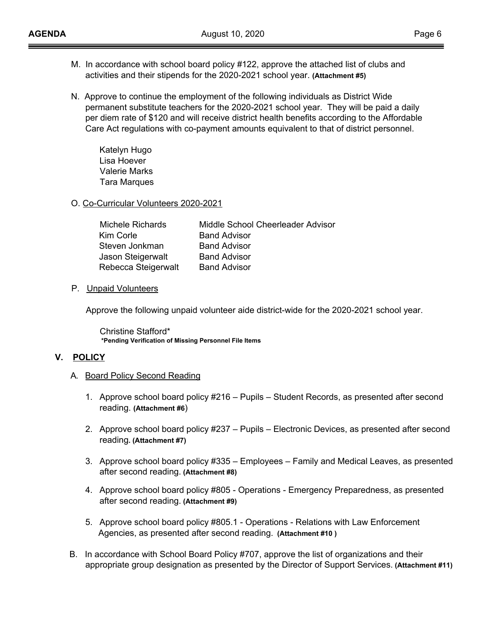- M. In accordance with school board policy #122, approve the attached list of clubs and activities and their stipends for the 2020-2021 school year. **(Attachment #5)**
- N. Approve to continue the employment of the following individuals as District Wide permanent substitute teachers for the 2020-2021 school year. They will be paid a daily per diem rate of \$120 and will receive district health benefits according to the Affordable Care Act regulations with co-payment amounts equivalent to that of district personnel.

Katelyn Hugo Lisa Hoever Valerie Marks Tara Marques

O. Co-Curricular Volunteers 2020-2021

| <b>Michele Richards</b> | Middle School Cheerleader Advisor |
|-------------------------|-----------------------------------|
| Kim Corle               | <b>Band Advisor</b>               |
| Steven Jonkman          | <b>Band Advisor</b>               |
| Jason Steigerwalt       | <b>Band Advisor</b>               |
| Rebecca Steigerwalt     | <b>Band Advisor</b>               |

### P. Unpaid Volunteers

Approve the following unpaid volunteer aide district-wide for the 2020-2021 school year.

Christine Stafford\* **\*Pending Verification of Missing Personnel File Items**

### **V. POLICY**

- A**.** Board Policy Second Reading
	- 1. Approve school board policy #216 Pupils Student Records, as presented after second reading. **(Attachment #6**)
	- 2. Approve school board policy #237 Pupils Electronic Devices, as presented after second reading**. (Attachment #7)**
	- 3. Approve school board policy #335 Employees Family and Medical Leaves, as presented after second reading. **(Attachment #8)**
	- 4. Approve school board policy #805 Operations Emergency Preparedness, as presented after second reading. **(Attachment #9)**
	- 5. Approve school board policy #805.1 Operations Relations with Law Enforcement Agencies, as presented after second reading. **(Attachment #10 )**
- B. In accordance with School Board Policy #707, approve the list of organizations and their appropriate group designation as presented by the Director of Support Services. **(Attachment #11)**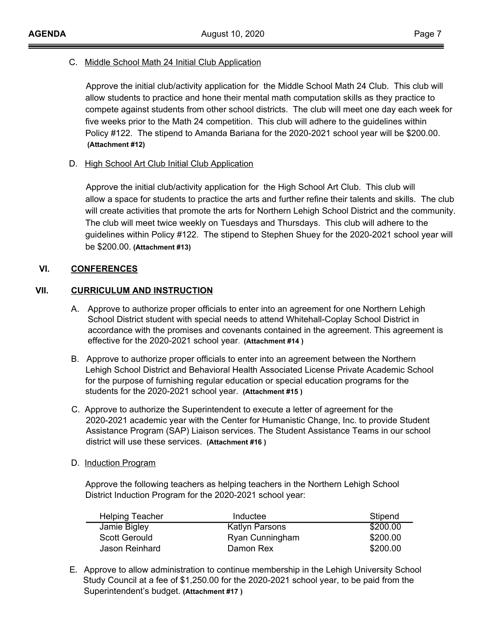### C. Middle School Math 24 Initial Club Application

Approve the initial club/activity application for the Middle School Math 24 Club. This club will allow students to practice and hone their mental math computation skills as they practice to compete against students from other school districts. The club will meet one day each week for five weeks prior to the Math 24 competition. This club will adhere to the guidelines within Policy #122. The stipend to Amanda Bariana for the 2020-2021 school year will be \$200.00.  **(Attachment #12)**

## D. High School Art Club Initial Club Application

Approve the initial club/activity application for the High School Art Club. This club will allow a space for students to practice the arts and further refine their talents and skills. The club will create activities that promote the arts for Northern Lehigh School District and the community. The club will meet twice weekly on Tuesdays and Thursdays. This club will adhere to the guidelines within Policy #122. The stipend to Stephen Shuey for the 2020-2021 school year will be \$200.00. **(Attachment #13)**

## **VI. CONFERENCES**

### **VII. CURRICULUM AND INSTRUCTION**

- A. Approve to authorize proper officials to enter into an agreement for one Northern Lehigh School District student with special needs to attend Whitehall-Coplay School District in accordance with the promises and covenants contained in the agreement. This agreement is effective for the 2020-2021 school year. **(Attachment #14 )**
- B. Approve to authorize proper officials to enter into an agreement between the Northern Lehigh School District and Behavioral Health Associated License Private Academic School for the purpose of furnishing regular education or special education programs for the students for the 2020-2021 school year. **(Attachment #15 )**
- C. Approve to authorize the Superintendent to execute a letter of agreement for the 2020-2021 academic year with the Center for Humanistic Change, Inc. to provide Student Assistance Program (SAP) Liaison services. The Student Assistance Teams in our school district will use these services. **(Attachment #16 )**
- D. Induction Program

Approve the following teachers as helping teachers in the Northern Lehigh School District Induction Program for the 2020-2021 school year:

| <b>Helping Teacher</b> | Inductee              | Stipend  |
|------------------------|-----------------------|----------|
| Jamie Bigley           | <b>Katlyn Parsons</b> | \$200.00 |
| <b>Scott Gerould</b>   | Ryan Cunningham       | \$200.00 |
| Jason Reinhard         | Damon Rex             | \$200.00 |

E**.** Approve to allow administration to continue membership in the Lehigh University School Study Council at a fee of \$1,250.00 for the 2020-2021 school year, to be paid from the Superintendent's budget. **(Attachment #17 )**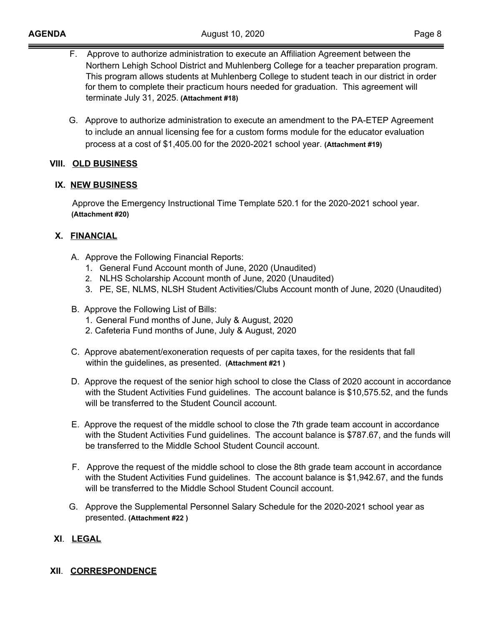- F. Approve to authorize administration to execute an Affiliation Agreement between the Northern Lehigh School District and Muhlenberg College for a teacher preparation program. This program allows students at Muhlenberg College to student teach in our district in order for them to complete their practicum hours needed for graduation. This agreement will terminate July 31, 2025. **(Attachment #18)**
- G. Approve to authorize administration to execute an amendment to the PA-ETEP Agreement to include an annual licensing fee for a custom forms module for the educator evaluation process at a cost of \$1,405.00 for the 2020-2021 school year. **(Attachment #19)**

# **VIII. OLD BUSINESS**

## **IX. NEW BUSINESS**

Approve the Emergency Instructional Time Template 520.1 for the 2020-2021 school year. **(Attachment #20)**

## **X. FINANCIAL**

- A. Approve the Following Financial Reports:
	- 1. General Fund Account month of June, 2020 (Unaudited)
	- 2. NLHS Scholarship Account month of June, 2020 (Unaudited)
	- 3. PE, SE, NLMS, NLSH Student Activities/Clubs Account month of June, 2020 (Unaudited)
- B. Approve the Following List of Bills:
	- 1. General Fund months of June, July & August, 2020
	- 2. Cafeteria Fund months of June, July & August, 2020
- C. Approve abatement/exoneration requests of per capita taxes, for the residents that fall within the guidelines, as presented. **(Attachment #21 )**
- D. Approve the request of the senior high school to close the Class of 2020 account in accordance with the Student Activities Fund guidelines. The account balance is \$10,575.52, and the funds will be transferred to the Student Council account.
- E. Approve the request of the middle school to close the 7th grade team account in accordance with the Student Activities Fund guidelines. The account balance is \$787.67, and the funds will be transferred to the Middle School Student Council account.
- F. Approve the request of the middle school to close the 8th grade team account in accordance with the Student Activities Fund guidelines. The account balance is \$1,942.67, and the funds will be transferred to the Middle School Student Council account.
- G. Approve the Supplemental Personnel Salary Schedule for the 2020-2021 school year as presented. **(Attachment #22 )**

# **XI**. **LEGAL**

### **XII**. **CORRESPONDENCE**